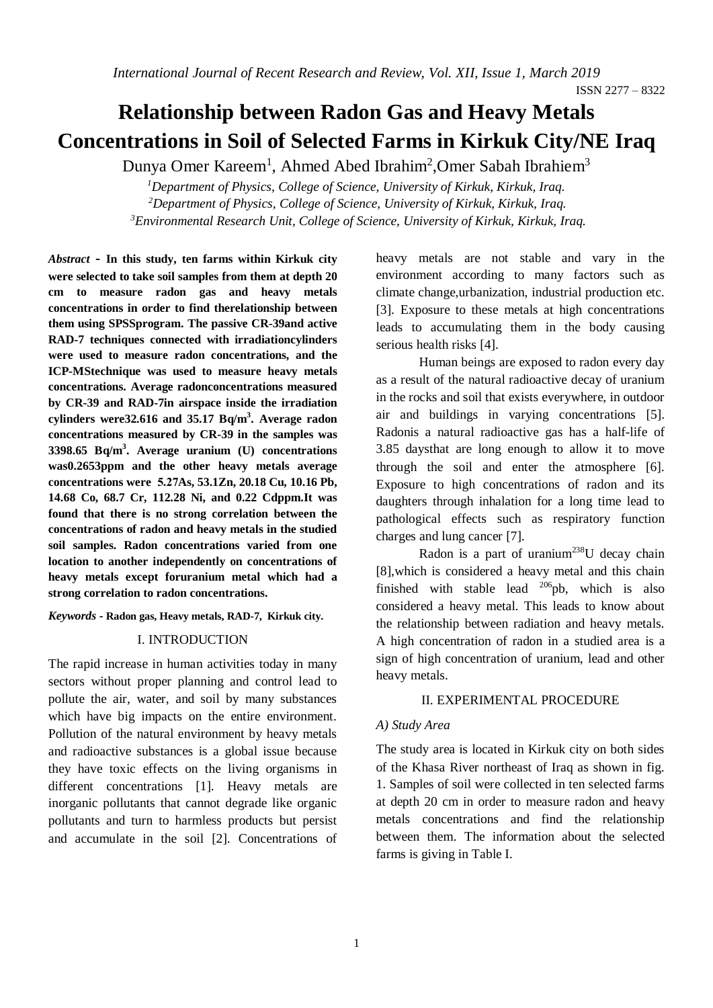# **Relationship between Radon Gas and Heavy Metals Concentrations in Soil of Selected Farms in Kirkuk City/NE Iraq**

Dunya Omer Kareem<sup>1</sup>, Ahmed Abed Ibrahim<sup>2</sup>, Omer Sabah Ibrahiem<sup>3</sup>

*<sup>1</sup>Department of Physics, College of Science, University of Kirkuk, Kirkuk, Iraq. <sup>2</sup>Department of Physics, College of Science, University of Kirkuk, Kirkuk, Iraq. <sup>3</sup>Environmental Research Unit, College of Science, University of Kirkuk, Kirkuk, Iraq.*

*Abstract* **- In this study, ten farms within Kirkuk city were selected to take soil samples from them at depth 20 cm to measure radon gas and heavy metals concentrations in order to find therelationship between them using SPSSprogram. The passive CR-39and active RAD-7 techniques connected with irradiationcylinders were used to measure radon concentrations, and the ICP-MStechnique was used to measure heavy metals concentrations. Average radonconcentrations measured by CR-39 and RAD-7in airspace inside the irradiation cylinders were32.616 and 35.17 Bq/m<sup>3</sup> . Average radon concentrations measured by CR-39 in the samples was 3398.65 Bq/m<sup>3</sup> . Average uranium (U) concentrations was0.2653ppm and the other heavy metals average concentrations were 5.27As, 53.1Zn, 20.18 Cu, 10.16 Pb, 14.68 Co, 68.7 Cr, 112.28 Ni, and 0.22 Cdppm.It was found that there is no strong correlation between the concentrations of radon and heavy metals in the studied soil samples. Radon concentrations varied from one location to another independently on concentrations of heavy metals except foruranium metal which had a strong correlation to radon concentrations.** 

*Keywords -* **Radon gas, Heavy metals, RAD-7, Kirkuk city.** 

#### I. INTRODUCTION

The rapid increase in human activities today in many sectors without proper planning and control lead to pollute the air, water, and soil by many substances which have big impacts on the entire environment. Pollution of the natural environment by heavy metals and radioactive substances is a global issue because they have toxic effects on the living organisms in different concentrations [1]. Heavy metals are inorganic pollutants that cannot degrade like organic pollutants and turn to harmless products but persist and accumulate in the soil [2]. Concentrations of heavy metals are not stable and vary in the environment according to many factors such as climate change,urbanization, industrial production etc. [3]. Exposure to these metals at high concentrations leads to accumulating them in the body causing serious health risks [4].

Human beings are exposed to radon every day as a result of the natural radioactive decay of uranium in the rocks and soil that exists everywhere, in outdoor air and buildings in varying concentrations [5]. Radonis a natural radioactive gas has a half-life of 3.85 daysthat are long enough to allow it to move through the soil and enter the atmosphere [6]. Exposure to high concentrations of radon and its daughters through inhalation for a long time lead to pathological effects such as respiratory function charges and lung cancer [7].

Radon is a part of uranium<sup>238</sup>U decay chain [8],which is considered a heavy metal and this chain finished with stable lead  $^{206}$ pb, which is also considered a heavy metal. This leads to know about the relationship between radiation and heavy metals. A high concentration of radon in a studied area is a sign of high concentration of uranium, lead and other heavy metals.

#### II. EXPERIMENTAL PROCEDURE

#### *A) Study Area*

The study area is located in Kirkuk city on both sides of the Khasa River northeast of Iraq as shown in fig. 1. Samples of soil were collected in ten selected farms at depth 20 cm in order to measure radon and heavy metals concentrations and find the relationship between them. The information about the selected farms is giving in Table I.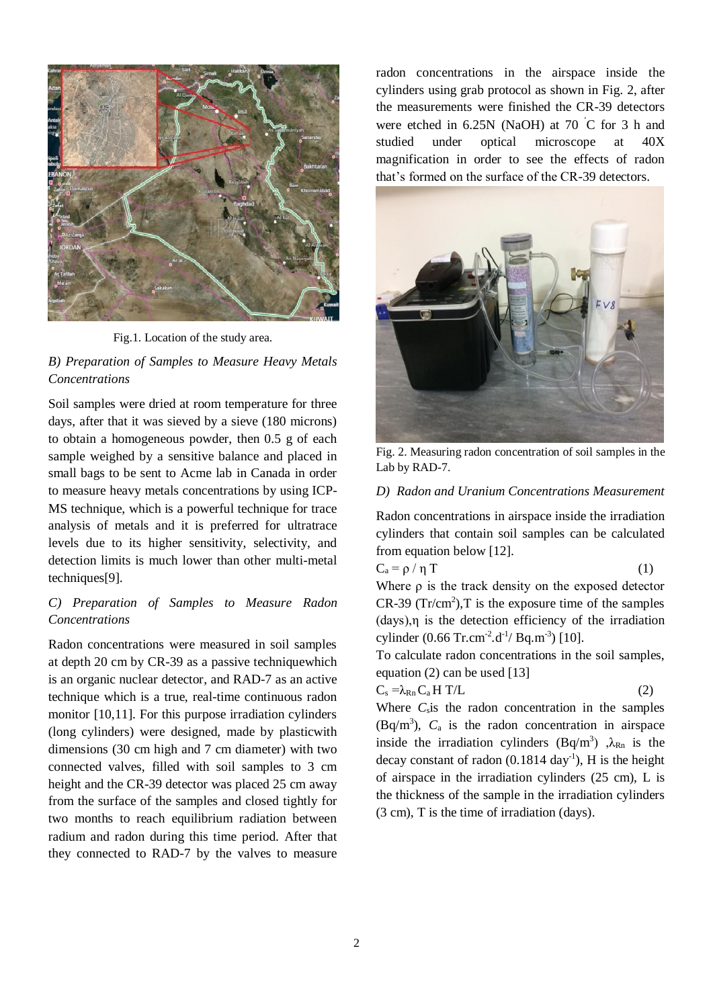

Fig.1. Location of the study area.

## *B) Preparation of Samples to Measure Heavy Metals Concentrations*

Soil samples were dried at room temperature for three days, after that it was sieved by a sieve (180 microns) to obtain a homogeneous powder, then 0.5 g of each sample weighed by a sensitive balance and placed in small bags to be sent to Acme lab in Canada in order to measure heavy metals concentrations by using ICP-MS technique, which is a powerful technique for trace analysis of metals and it is preferred for ultratrace levels due to its higher sensitivity, selectivity, and detection limits is much lower than other multi-metal techniques[9].

## *C) Preparation of Samples to Measure Radon Concentrations*

Radon concentrations were measured in soil samples at depth 20 cm by CR-39 as a passive techniquewhich is an organic nuclear detector, and RAD-7 as an active technique which is a true, real-time continuous radon monitor [10,11]. For this purpose irradiation cylinders (long cylinders) were designed, made by plasticwith dimensions (30 cm high and 7 cm diameter) with two connected valves, filled with soil samples to 3 cm height and the CR-39 detector was placed 25 cm away from the surface of the samples and closed tightly for two months to reach equilibrium radiation between radium and radon during this time period. After that they connected to RAD-7 by the valves to measure

radon concentrations in the airspace inside the cylinders using grab protocol as shown in Fig. 2, after the measurements were finished the CR-39 detectors were etched in 6.25N (NaOH) at 70 ˚C for 3 h and studied under optical microscope at 40X magnification in order to see the effects of radon that's formed on the surface of the CR-39 detectors.



Fig. 2. Measuring radon concentration of soil samples in the Lab by RAD-7.

## *D) Radon and Uranium Concentrations Measurement*

Radon concentrations in airspace inside the irradiation cylinders that contain soil samples can be calculated from equation below [12].

$$
C_a = \rho / \eta T \tag{1}
$$

Where ρ is the track density on the exposed detector  $CR-39 (Tr/cm<sup>2</sup>), T$  is the exposure time of the samples  $(days)$ ,  $\eta$  is the detection efficiency of the irradiation cylinder  $(0.66$  Tr.cm<sup>-2</sup>.d<sup>-1</sup>/ Bq.m<sup>-3</sup>) [10].

To calculate radon concentrations in the soil samples, equation (2) can be used [13]

$$
C_s = \lambda_{Rn} C_a H T / L \tag{2}
$$

Where  $C_s$  is the radon concentration in the samples  $(Bq/m<sup>3</sup>)$ ,  $C_a$  is the radon concentration in airspace inside the irradiation cylinders  $(Bq/m^3)$ ,  $\lambda_{Rn}$  is the decay constant of radon  $(0.1814 \text{ day}^{-1})$ , H is the height of airspace in the irradiation cylinders (25 cm), L is the thickness of the sample in the irradiation cylinders (3 cm), T is the time of irradiation (days).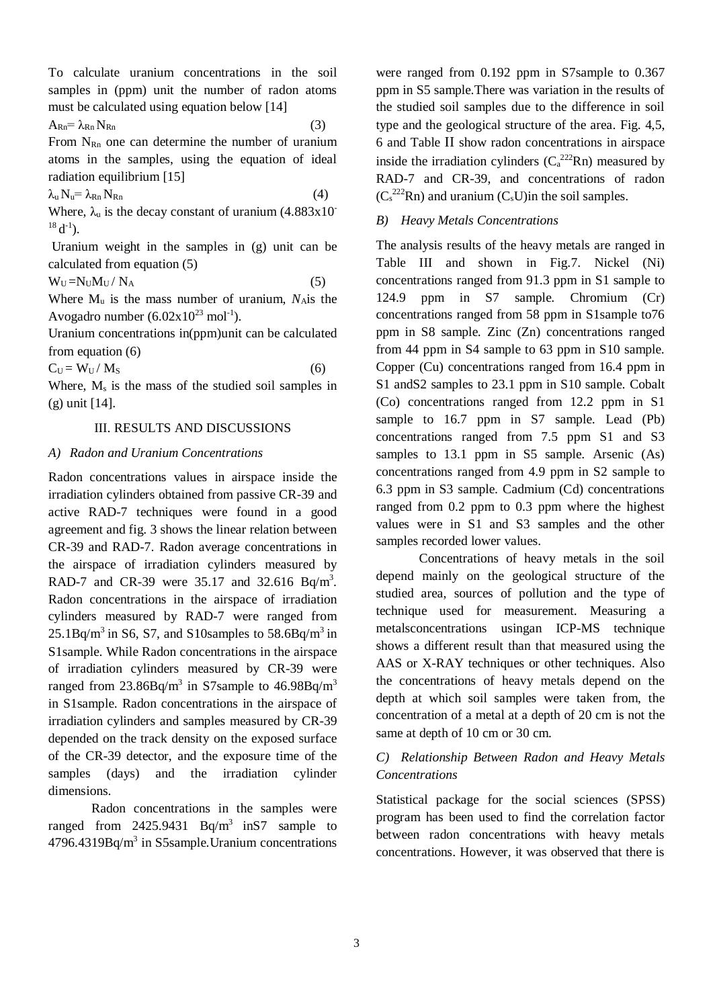To calculate uranium concentrations in the soil samples in (ppm) unit the number of radon atoms must be calculated using equation below [14]

 $A_{\rm Rn} = \lambda_{\rm Rn} N_{\rm Rn}$  (3)

From  $N_{Rn}$  one can determine the number of uranium atoms in the samples, using the equation of ideal radiation equilibrium [15]

 $\lambda_n N_n = \lambda_{Rn} N_{Rn}$  (4)

Where,  $\lambda_{\rm u}$  is the decay constant of uranium (4.883x10)  $^{18}$  d<sup>-1</sup>).

Uranium weight in the samples in (g) unit can be calculated from equation (5)

 $W_U = N_U M_U / N_A$  (5)

Where  $M_{\text{u}}$  is the mass number of uranium,  $N_{\text{A}}$  is the Avogadro number  $(6.02 \times 10^{23} \text{ mol}^{-1})$ .

Uranium concentrations in(ppm)unit can be calculated from equation (6)

 $C_U = W_U / M_S$  (6)

Where,  $M_s$  is the mass of the studied soil samples in (g) unit [14].

## III. RESULTS AND DISCUSSIONS

#### *A) Radon and Uranium Concentrations*

Radon concentrations values in airspace inside the irradiation cylinders obtained from passive CR-39 and active RAD-7 techniques were found in a good agreement and fig. 3 shows the linear relation between CR-39 and RAD-7. Radon average concentrations in the airspace of irradiation cylinders measured by RAD-7 and CR-39 were  $35.17$  and  $32.616$  Bq/m<sup>3</sup>. Radon concentrations in the airspace of irradiation cylinders measured by RAD-7 were ranged from  $25.1Bq/m<sup>3</sup>$  in S6, S7, and S10samples to  $58.6Bq/m<sup>3</sup>$  in S1sample. While Radon concentrations in the airspace of irradiation cylinders measured by CR-39 were ranged from  $23.86Bq/m^3$  in S7sample to  $46.98Bq/m^3$ in S1sample. Radon concentrations in the airspace of irradiation cylinders and samples measured by CR-39 depended on the track density on the exposed surface of the CR-39 detector, and the exposure time of the samples (days) and the irradiation cylinder dimensions.

Radon concentrations in the samples were ranged from  $2425.9431$  Bq/m<sup>3</sup> in S7 sample to  $4796.4319Bq/m<sup>3</sup>$  in S5sample. Uranium concentrations were ranged from 0.192 ppm in S7sample to 0.367 ppm in S5 sample.There was variation in the results of the studied soil samples due to the difference in soil type and the geological structure of the area. Fig. 4,5, 6 and Table II show radon concentrations in airspace inside the irradiation cylinders  $(C_a^{222}Rn)$  measured by RAD-7 and CR-39, and concentrations of radon  $(C_s^{222}Rn)$  and uranium  $(C_sU)$ in the soil samples.

## *B) Heavy Metals Concentrations*

The analysis results of the heavy metals are ranged in Table III and shown in Fig.7. Nickel (Ni) concentrations ranged from 91.3 ppm in S1 sample to 124.9 ppm in S7 sample. Chromium (Cr) concentrations ranged from 58 ppm in S1sample to76 ppm in S8 sample. Zinc (Zn) concentrations ranged from 44 ppm in S4 sample to 63 ppm in S10 sample. Copper (Cu) concentrations ranged from 16.4 ppm in S1 andS2 samples to 23.1 ppm in S10 sample. Cobalt (Co) concentrations ranged from 12.2 ppm in S1 sample to 16.7 ppm in S7 sample. Lead (Pb) concentrations ranged from 7.5 ppm S1 and S3 samples to 13.1 ppm in S5 sample. Arsenic (As) concentrations ranged from 4.9 ppm in S2 sample to 6.3 ppm in S3 sample. Cadmium (Cd) concentrations ranged from 0.2 ppm to 0.3 ppm where the highest values were in S1 and S3 samples and the other samples recorded lower values.

Concentrations of heavy metals in the soil depend mainly on the geological structure of the studied area, sources of pollution and the type of technique used for measurement. Measuring a metalsconcentrations usingan ICP-MS technique shows a different result than that measured using the AAS or X-RAY techniques or other techniques. Also the concentrations of heavy metals depend on the depth at which soil samples were taken from, the concentration of a metal at a depth of 20 cm is not the same at depth of 10 cm or 30 cm.

## *C) Relationship Between Radon and Heavy Metals Concentrations*

Statistical package for the social sciences (SPSS) program has been used to find the correlation factor between radon concentrations with heavy metals concentrations. However, it was observed that there is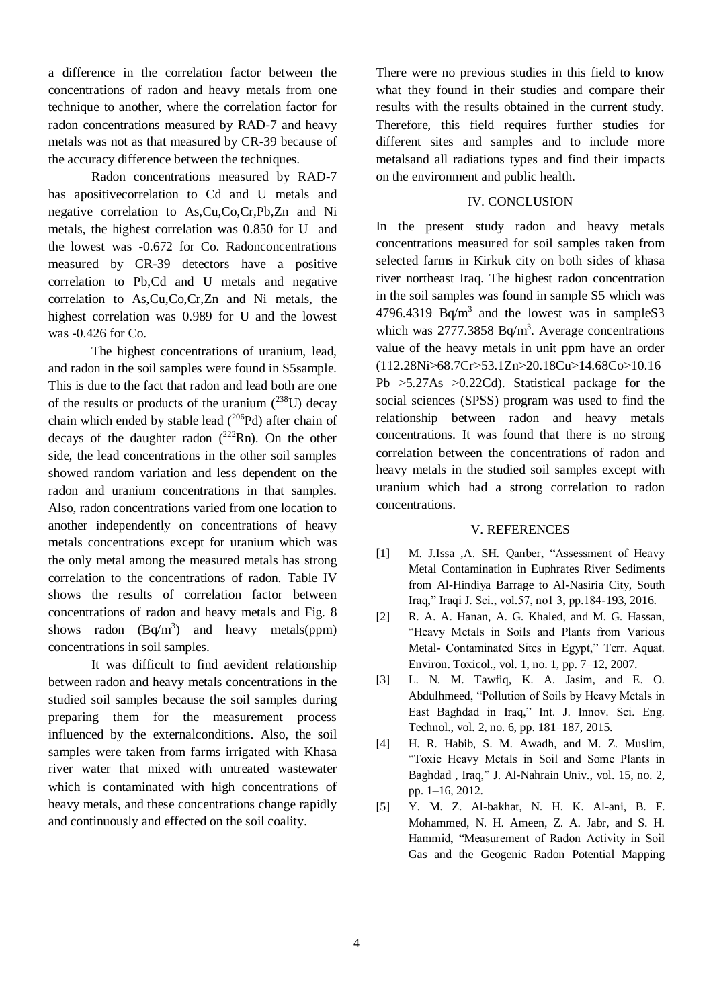a difference in the correlation factor between the concentrations of radon and heavy metals from one technique to another, where the correlation factor for radon concentrations measured by RAD-7 and heavy metals was not as that measured by CR-39 because of the accuracy difference between the techniques.

Radon concentrations measured by RAD-7 has apositivecorrelation to Cd and U metals and negative correlation to As,Cu,Co,Cr,Pb,Zn and Ni metals, the highest correlation was 0.850 for U and the lowest was -0.672 for Co. Radonconcentrations measured by CR-39 detectors have a positive correlation to Pb,Cd and U metals and negative correlation to As,Cu,Co,Cr,Zn and Ni metals, the highest correlation was 0.989 for U and the lowest was -0.426 for Co.

The highest concentrations of uranium, lead, and radon in the soil samples were found in S5sample. This is due to the fact that radon and lead both are one of the results or products of the uranium  $(^{238}U)$  decay chain which ended by stable lead  $(^{206}Pd)$  after chain of decays of the daughter radon  $(^{222}Rn)$ . On the other side, the lead concentrations in the other soil samples showed random variation and less dependent on the radon and uranium concentrations in that samples. Also, radon concentrations varied from one location to another independently on concentrations of heavy metals concentrations except for uranium which was the only metal among the measured metals has strong correlation to the concentrations of radon. Table IV shows the results of correlation factor between concentrations of radon and heavy metals and Fig. 8 shows radon  $(Bq/m^3)$  and heavy metals(ppm) concentrations in soil samples.

It was difficult to find aevident relationship between radon and heavy metals concentrations in the studied soil samples because the soil samples during preparing them for the measurement process influenced by the externalconditions. Also, the soil samples were taken from farms irrigated with Khasa river water that mixed with untreated wastewater which is contaminated with high concentrations of heavy metals, and these concentrations change rapidly and continuously and effected on the soil coality.

There were no previous studies in this field to know what they found in their studies and compare their results with the results obtained in the current study. Therefore, this field requires further studies for different sites and samples and to include more metalsand all radiations types and find their impacts on the environment and public health.

#### IV. CONCLUSION

In the present study radon and heavy metals concentrations measured for soil samples taken from selected farms in Kirkuk city on both sides of khasa river northeast Iraq. The highest radon concentration in the soil samples was found in sample S5 which was 4796.4319 Bq/m<sup>3</sup> and the lowest was in sampleS3 which was  $2777.3858$  Bq/m<sup>3</sup>. Average concentrations value of the heavy metals in unit ppm have an order (112.28Ni<68.7Cr<53.1Zn<20.18Cu<14.68Co<10.16 Pb  $>5.27As > 0.22Cd$ . Statistical package for the social sciences (SPSS) program was used to find the relationship between radon and heavy metals concentrations. It was found that there is no strong correlation between the concentrations of radon and heavy metals in the studied soil samples except with uranium which had a strong correlation to radon concentrations.

#### V. REFERENCES

- [1] M. J.Issa ,A. SH. Qanber, "Assessment of Heavy Metal Contamination in Euphrates River Sediments from Al-Hindiya Barrage to Al-Nasiria City, South Iraq," Iraqi J. Sci., vol.57, no1 3, pp.184-193, 2016.
- [2] R. A. A. Hanan, A. G. Khaled, and M. G. Hassan, "Heavy Metals in Soils and Plants from Various Metal- Contaminated Sites in Egypt," Terr. Aquat. Environ. Toxicol., vol. 1, no. 1, pp. 7–12, 2007.
- [3] L. N. M. Tawfiq, K. A. Jasim, and E. O. Abdulhmeed, "Pollution of Soils by Heavy Metals in East Baghdad in Iraq," Int. J. Innov. Sci. Eng. Technol., vol. 2, no. 6, pp. 181–187, 2015.
- [4] H. R. Habib, S. M. Awadh, and M. Z. Muslim, "Toxic Heavy Metals in Soil and Some Plants in Baghdad , Iraq," J. Al-Nahrain Univ., vol. 15, no. 2, pp. 1–16, 2012.
- [5] Y. M. Z. Al-bakhat, N. H. K. Al-ani, B. F. Mohammed, N. H. Ameen, Z. A. Jabr, and S. H. Hammid, "Measurement of Radon Activity in Soil Gas and the Geogenic Radon Potential Mapping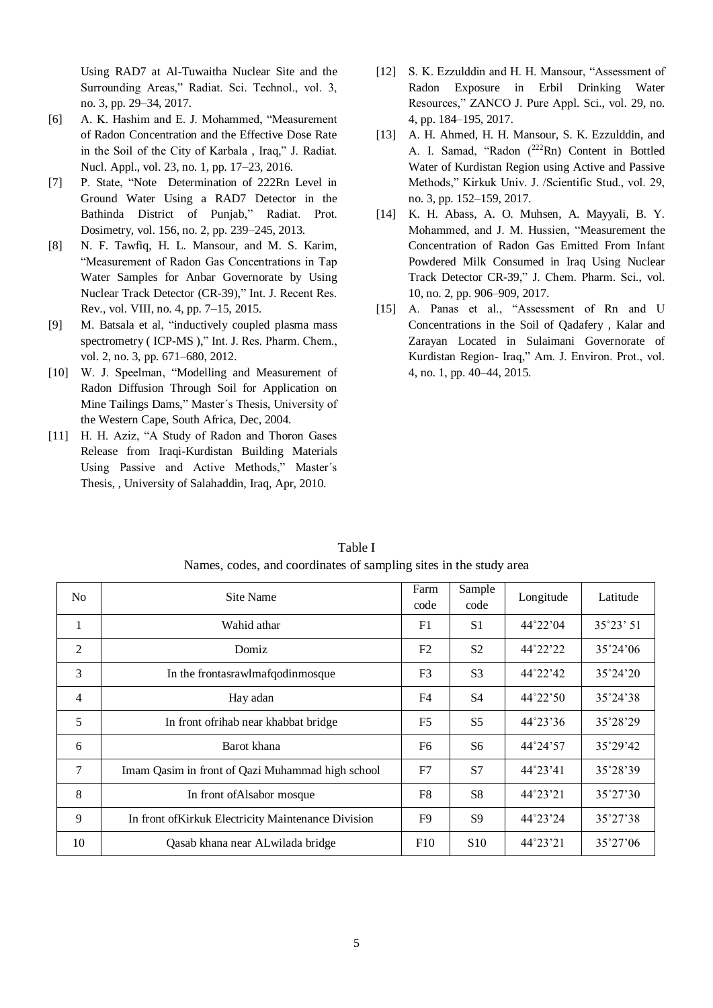Using RAD7 at Al-Tuwaitha Nuclear Site and the Surrounding Areas," Radiat. Sci. Technol., vol. 3, no. 3, pp. 29–34, 2017.

- [6] A. K. Hashim and E. J. Mohammed, "Measurement of Radon Concentration and the Effective Dose Rate in the Soil of the City of Karbala , Iraq," J. Radiat. Nucl. Appl., vol. 23, no. 1, pp. 17–23, 2016.
- [7] P. State, "Note Determination of 222Rn Level in Ground Water Using a RAD7 Detector in the Bathinda District of Punjab," Radiat. Prot. Dosimetry, vol. 156, no. 2, pp. 239–245, 2013.
- [8] N. F. Tawfiq, H. L. Mansour, and M. S. Karim, "Measurement of Radon Gas Concentrations in Tap Water Samples for Anbar Governorate by Using Nuclear Track Detector (CR-39)," Int. J. Recent Res. Rev., vol. VIII, no. 4, pp. 7–15, 2015.
- [9] M. Batsala et al, "inductively coupled plasma mass spectrometry (ICP-MS)," Int. J. Res. Pharm. Chem., vol. 2, no. 3, pp. 671–680, 2012.
- [10] W. J. Speelman, "Modelling and Measurement of Radon Diffusion Through Soil for Application on Mine Tailings Dams," Master´s Thesis, University of the Western Cape, South Africa, Dec, 2004.
- [11] H. H. Aziz, "A Study of Radon and Thoron Gases Release from Iraqi-Kurdistan Building Materials Using Passive and Active Methods," Master´s Thesis, , University of Salahaddin, Iraq, Apr, 2010.
- [12] S. K. Ezzulddin and H. H. Mansour, "Assessment of Radon Exposure in Erbil Drinking Water Resources," ZANCO J. Pure Appl. Sci., vol. 29, no. 4, pp. 184–195, 2017.
- [13] A. H. Ahmed, H. H. Mansour, S. K. Ezzulddin, and A. I. Samad, "Radon (222Rn) Content in Bottled Water of Kurdistan Region using Active and Passive Methods," Kirkuk Univ. J. /Scientific Stud., vol. 29, no. 3, pp. 152–159, 2017.
- [14] K. H. Abass, A. O. Muhsen, A. Mayyali, B. Y. Mohammed, and J. M. Hussien, "Measurement the Concentration of Radon Gas Emitted From Infant Powdered Milk Consumed in Iraq Using Nuclear Track Detector CR-39," J. Chem. Pharm. Sci., vol. 10, no. 2, pp. 906–909, 2017.
- [15] A. Panas et al., "Assessment of Rn and U Concentrations in the Soil of Qadafery , Kalar and Zarayan Located in Sulaimani Governorate of Kurdistan Region- Iraq," Am. J. Environ. Prot., vol. 4, no. 1, pp. 40–44, 2015.

| N <sub>0</sub> | Site Name                                           | Farm<br>code   | Sample<br>code  | Longitude         | Latitude          |
|----------------|-----------------------------------------------------|----------------|-----------------|-------------------|-------------------|
| 1              | Wahid athar                                         | F1             | S <sub>1</sub>  | $44^{\circ}22'04$ | 35°23' 51         |
| 2              | Domiz                                               | F <sub>2</sub> | S <sub>2</sub>  | 44°22'22          | $35^{\circ}24'06$ |
| 3              | In the frontasrawlmafqodinmosque                    | F <sub>3</sub> | S <sub>3</sub>  | 44°22'42          | $35^{\circ}24'20$ |
| $\overline{4}$ | Hay adan                                            | F4             | S <sub>4</sub>  | 44°22'50          | 35°24'38          |
| 5              | In front of rihab near khabbat bridge               | F <sub>5</sub> | S <sub>5</sub>  | 44°23'36          | 35°28'29          |
| 6              | Barot khana                                         | F <sub>6</sub> | S <sub>6</sub>  | 44°24'57          | 35°29'42          |
| 7              | Imam Qasim in front of Qazi Muhammad high school    | F7             | S7              | $44^{\circ}23'41$ | 35°28'39          |
| 8              | In front of Alsabor mosque                          | F8             | S <sub>8</sub>  | 44°23'21          | $35^{\circ}27'30$ |
| 9              | In front of Kirkuk Electricity Maintenance Division | F9             | S <sub>9</sub>  | 44°23'24          | 35°27'38          |
| 10             | Qasab khana near ALwilada bridge                    | F10            | S <sub>10</sub> | 44°23'21          | $35^{\circ}27'06$ |

Table I Names, codes, and coordinates of sampling sites in the study area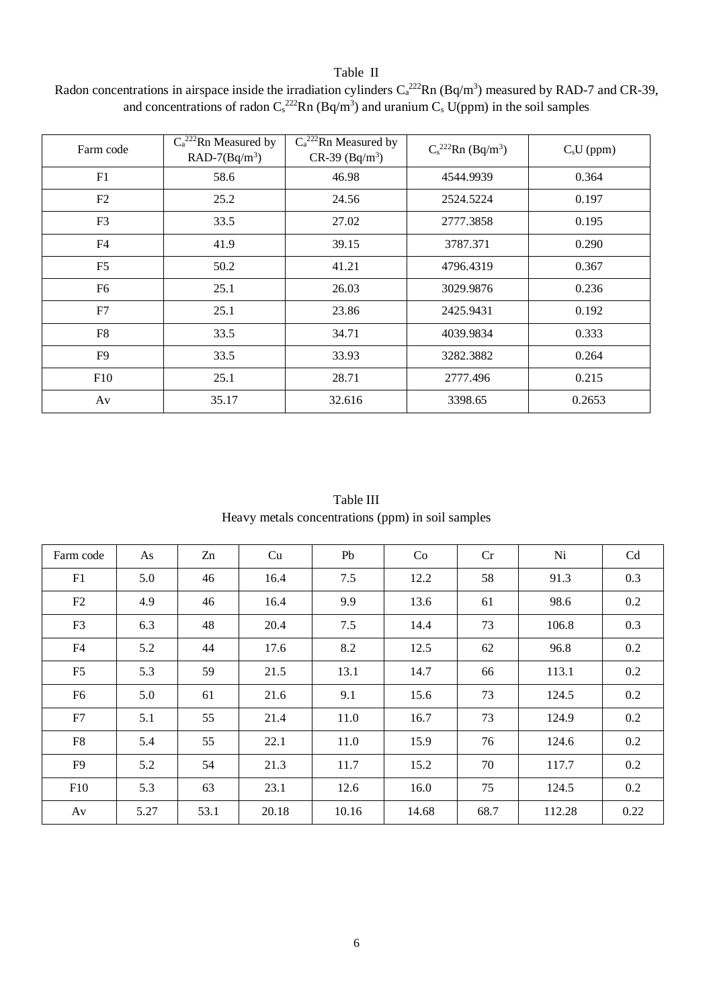## Table II

| Radon concentrations in airspace inside the irradiation cylinders $C_a^{222}Rn(Bq/m^3)$ measured by RAD-7 and CR-39, |
|----------------------------------------------------------------------------------------------------------------------|
| and concentrations of radon $C_s^{222}$ Rn (Bq/m <sup>3</sup> ) and uranium $C_s$ U(ppm) in the soil samples         |

| Farm code      | $C_a^{222}$ Rn Measured by<br>$RAD-7(Bq/m3)$ | $C_a^{222}$ Rn Measured by<br>$CR-39$ $(Bq/m^3)$ | $C_s^{222}$ Rn (Bq/m <sup>3</sup> ) | $CsU$ (ppm) |
|----------------|----------------------------------------------|--------------------------------------------------|-------------------------------------|-------------|
| F1             | 58.6                                         | 46.98                                            | 4544.9939                           | 0.364       |
| F2             | 25.2                                         | 24.56                                            | 2524.5224                           | 0.197       |
| F <sub>3</sub> | 33.5                                         | 27.02                                            | 2777.3858                           | 0.195       |
| F4             | 41.9                                         | 39.15                                            | 3787.371                            | 0.290       |
| F <sub>5</sub> | 50.2                                         | 41.21                                            | 4796.4319                           | 0.367       |
| F <sub>6</sub> | 25.1                                         | 26.03                                            | 3029.9876                           | 0.236       |
| F7             | 25.1                                         | 23.86                                            | 2425.9431                           | 0.192       |
| F8             | 33.5                                         | 34.71                                            | 4039.9834                           | 0.333       |
| F <sub>9</sub> | 33.5                                         | 33.93                                            | 3282.3882                           | 0.264       |
| F10            | 25.1                                         | 28.71                                            | 2777.496                            | 0.215       |
| Av             | 35.17                                        | 32.616                                           | 3398.65                             | 0.2653      |

Table III Heavy metals concentrations (ppm) in soil samples

| Farm code      | As   | Zn   | Cu    | Pb    | Co    | Cr   | Ni     | Cd   |
|----------------|------|------|-------|-------|-------|------|--------|------|
| F1             | 5.0  | 46   | 16.4  | 7.5   | 12.2  | 58   | 91.3   | 0.3  |
| F2             | 4.9  | 46   | 16.4  | 9.9   | 13.6  | 61   | 98.6   | 0.2  |
| F <sub>3</sub> | 6.3  | 48   | 20.4  | 7.5   | 14.4  | 73   | 106.8  | 0.3  |
| F4             | 5.2  | 44   | 17.6  | 8.2   | 12.5  | 62   | 96.8   | 0.2  |
| F <sub>5</sub> | 5.3  | 59   | 21.5  | 13.1  | 14.7  | 66   | 113.1  | 0.2  |
| F <sub>6</sub> | 5.0  | 61   | 21.6  | 9.1   | 15.6  | 73   | 124.5  | 0.2  |
| F7             | 5.1  | 55   | 21.4  | 11.0  | 16.7  | 73   | 124.9  | 0.2  |
| F8             | 5.4  | 55   | 22.1  | 11.0  | 15.9  | 76   | 124.6  | 0.2  |
| F <sub>9</sub> | 5.2  | 54   | 21.3  | 11.7  | 15.2  | 70   | 117.7  | 0.2  |
| F10            | 5.3  | 63   | 23.1  | 12.6  | 16.0  | 75   | 124.5  | 0.2  |
| Av             | 5.27 | 53.1 | 20.18 | 10.16 | 14.68 | 68.7 | 112.28 | 0.22 |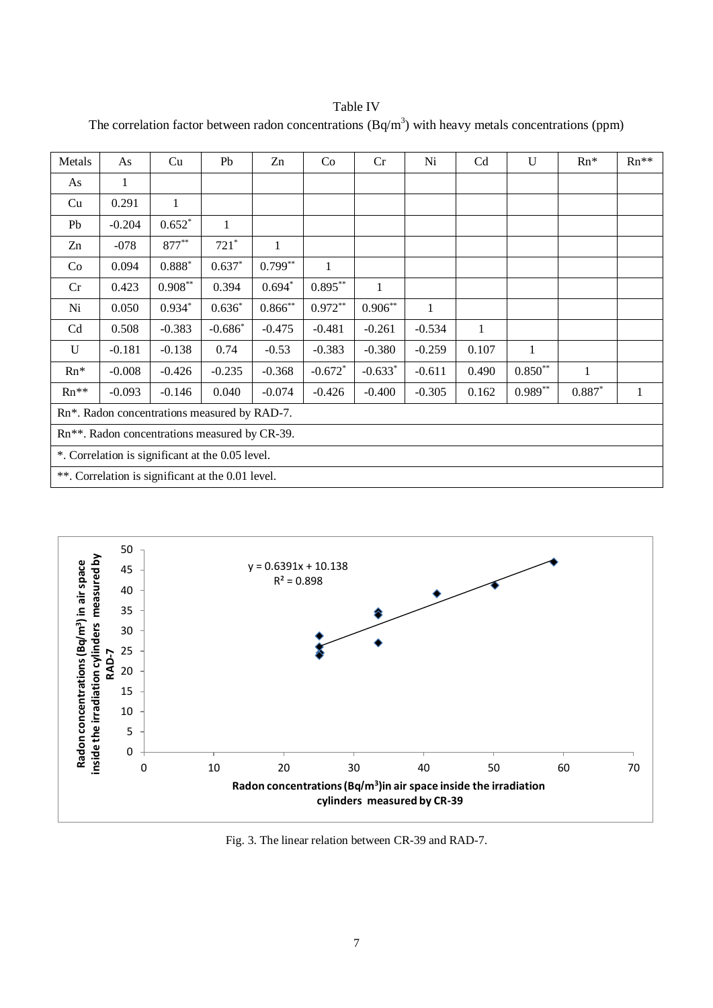Table IV

| Metals                                            | As       | Cu           | Pb        | Zn        | Co           | Cr        | Ni       | Cd    | $\mathbf{U}$ | $Rn*$    | $Rn**$ |
|---------------------------------------------------|----------|--------------|-----------|-----------|--------------|-----------|----------|-------|--------------|----------|--------|
| As                                                | 1        |              |           |           |              |           |          |       |              |          |        |
| Cu                                                | 0.291    | 1            |           |           |              |           |          |       |              |          |        |
| Pb                                                | $-0.204$ | $0.652*$     | 1         |           |              |           |          |       |              |          |        |
| Zn                                                | $-078$   | 877**        | $721*$    | 1         |              |           |          |       |              |          |        |
| Co                                                | 0.094    | $0.888^\ast$ | $0.637*$  | $0.799**$ | $\mathbf{1}$ |           |          |       |              |          |        |
| Cr                                                | 0.423    | $0.908**$    | 0.394     | $0.694*$  | $0.895**$    | 1         |          |       |              |          |        |
| Ni                                                | 0.050    | $0.934*$     | $0.636*$  | $0.866**$ | $0.972**$    | $0.906**$ | 1        |       |              |          |        |
| C <sub>d</sub>                                    | 0.508    | $-0.383$     | $-0.686*$ | $-0.475$  | $-0.481$     | $-0.261$  | $-0.534$ | -1    |              |          |        |
| U                                                 | $-0.181$ | $-0.138$     | 0.74      | $-0.53$   | $-0.383$     | $-0.380$  | $-0.259$ | 0.107 | 1            |          |        |
| $Rn*$                                             | $-0.008$ | $-0.426$     | $-0.235$  | $-0.368$  | $-0.672$ *   | $-0.633*$ | $-0.611$ | 0.490 | $0.850**$    | 1        |        |
| $Rn**$                                            | $-0.093$ | $-0.146$     | 0.040     | $-0.074$  | $-0.426$     | $-0.400$  | $-0.305$ | 0.162 | $0.989**$    | $0.887*$ | 1      |
| Rn*. Radon concentrations measured by RAD-7.      |          |              |           |           |              |           |          |       |              |          |        |
| Rn**. Radon concentrations measured by CR-39.     |          |              |           |           |              |           |          |       |              |          |        |
| *. Correlation is significant at the 0.05 level.  |          |              |           |           |              |           |          |       |              |          |        |
| **. Correlation is significant at the 0.01 level. |          |              |           |           |              |           |          |       |              |          |        |

The correlation factor between radon concentrations  $(Bq/m<sup>3</sup>)$  with heavy metals concentrations (ppm)



Fig. 3. The linear relation between CR-39 and RAD-7.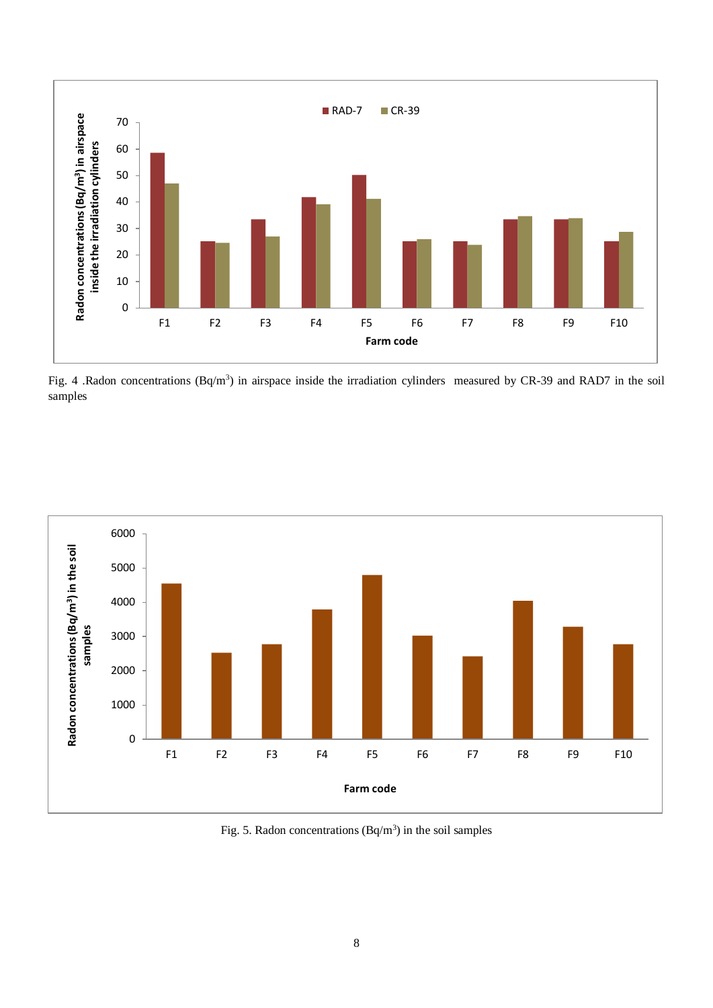

Fig. 4 .Radon concentrations  $(Bq/m^3)$  in airspace inside the irradiation cylinders measured by CR-39 and RAD7 in the soil samples



Fig. 5. Radon concentrations  $(Bq/m^3)$  in the soil samples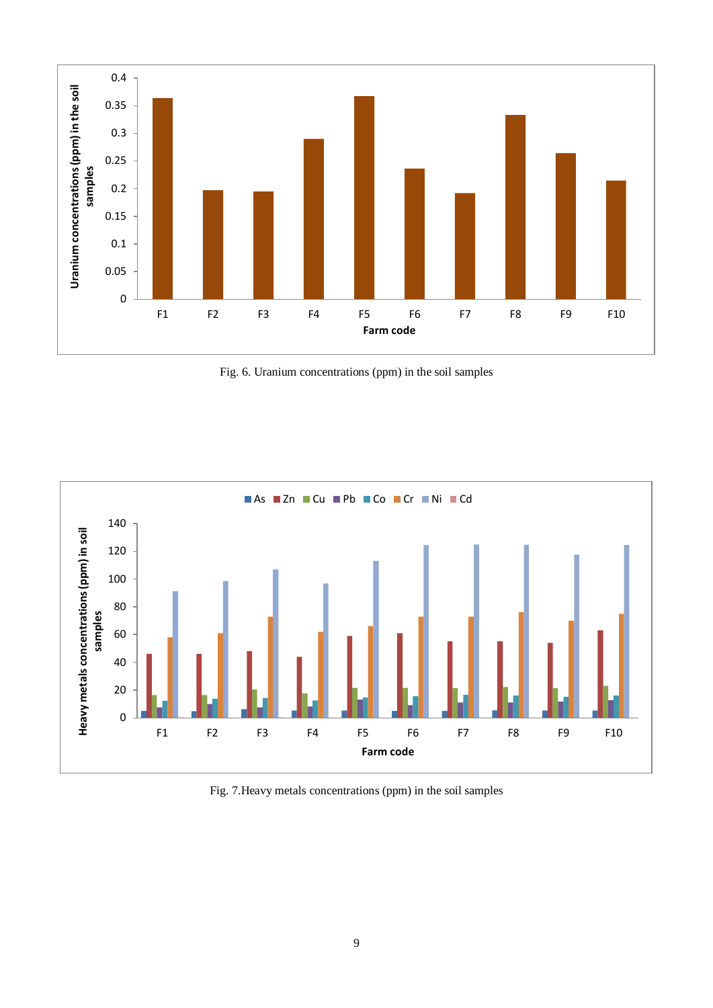

Fig. 6. Uranium concentrations (ppm) in the soil samples



Fig. 7.Heavy metals concentrations (ppm) in the soil samples